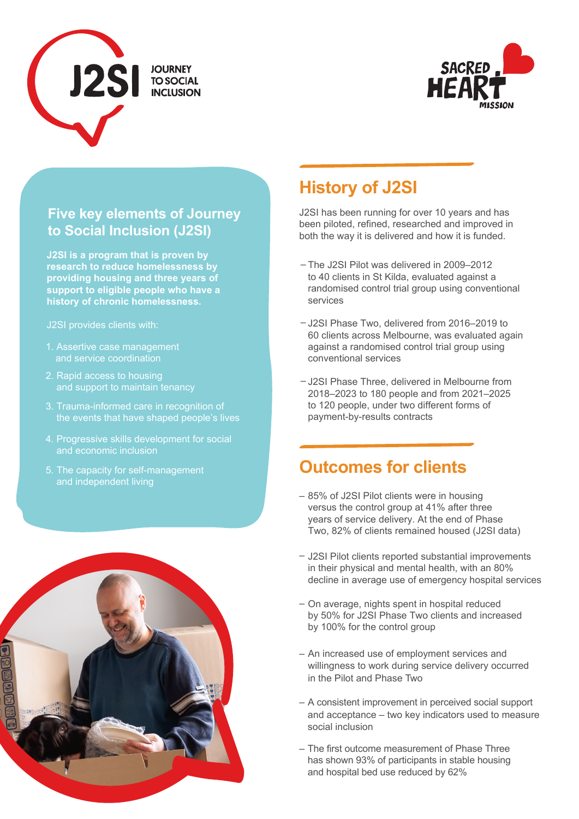



#### **Five key elements of Journey to Social Inclusion (J2SI)**

**J2SI is a program that is proven by research to reduce homelessness by providing housing and three years of support to eligible people who have a history of chronic homelessness.**

- 1. Assertive case management and service coordination
- 2. Rapid access to housing and support to maintain tenancy
- 3. Trauma-informed care in recognition of the events that have shaped people's lives
- 4. Progressive skills development for social and economic inclusion
- 5. The capacity for self-management and independent living



# **History of J2SI**

J2SI has been running for over 10 years and has been piloted, refined, researched and improved in both the way it is delivered and how it is funded.

- The J2SI Pilot was delivered in 2009–2012 to 40 clients in St Kilda, evaluated against a randomised control trial group using conventional services
- J2SI Phase Two, delivered from 2016–2019 to 60 clients across Melbourne, was evaluated again against a randomised control trial group using conventional services
- J2SI Phase Three, delivered in Melbourne from 2018–2023 to 180 people and from 2021–2025 to 120 people, under two different forms of payment-by-results contracts

#### **Outcomes for clients**

- 85% of J2SI Pilot clients were in housing versus the control group at 41% after three years of service delivery. At the end of Phase Two, 82% of clients remained housed (J2SI data)
- J2SI Pilot clients reported substantial improvements in their physical and mental health, with an 80% decline in average use of emergency hospital services
- On average, nights spent in hospital reduced by 50% for J2SI Phase Two clients and increased by 100% for the control group
- An increased use of employment services and willingness to work during service delivery occurred in the Pilot and Phase Two
- A consistent improvement in perceived social support and acceptance – two key indicators used to measure social inclusion
- The first outcome measurement of Phase Three has shown 93% of participants in stable housing and hospital bed use reduced by 62%